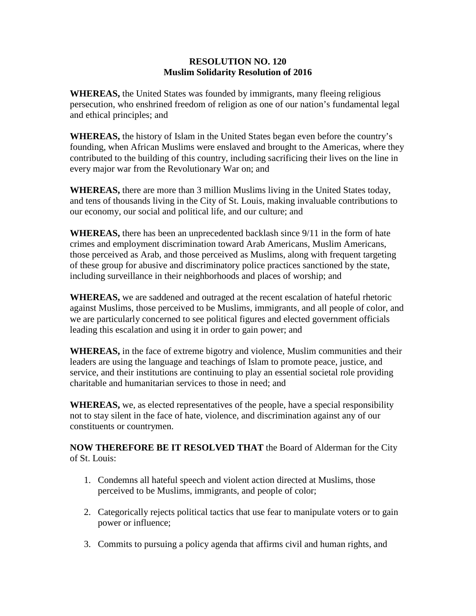## **RESOLUTION NO. 120 Muslim Solidarity Resolution of 2016**

**WHEREAS,** the United States was founded by immigrants, many fleeing religious persecution, who enshrined freedom of religion as one of our nation's fundamental legal and ethical principles; and

**WHEREAS,** the history of Islam in the United States began even before the country's founding, when African Muslims were enslaved and brought to the Americas, where they contributed to the building of this country, including sacrificing their lives on the line in every major war from the Revolutionary War on; and

**WHEREAS,** there are more than 3 million Muslims living in the United States today, and tens of thousands living in the City of St. Louis, making invaluable contributions to our economy, our social and political life, and our culture; and

**WHEREAS,** there has been an unprecedented backlash since 9/11 in the form of hate crimes and employment discrimination toward Arab Americans, Muslim Americans, those perceived as Arab, and those perceived as Muslims, along with frequent targeting of these group for abusive and discriminatory police practices sanctioned by the state, including surveillance in their neighborhoods and places of worship; and

**WHEREAS,** we are saddened and outraged at the recent escalation of hateful rhetoric against Muslims, those perceived to be Muslims, immigrants, and all people of color, and we are particularly concerned to see political figures and elected government officials leading this escalation and using it in order to gain power; and

**WHEREAS,** in the face of extreme bigotry and violence, Muslim communities and their leaders are using the language and teachings of Islam to promote peace, justice, and service, and their institutions are continuing to play an essential societal role providing charitable and humanitarian services to those in need; and

**WHEREAS,** we, as elected representatives of the people, have a special responsibility not to stay silent in the face of hate, violence, and discrimination against any of our constituents or countrymen.

**NOW THEREFORE BE IT RESOLVED THAT** the Board of Alderman for the City of St. Louis:

- 1. Condemns all hateful speech and violent action directed at Muslims, those perceived to be Muslims, immigrants, and people of color;
- 2. Categorically rejects political tactics that use fear to manipulate voters or to gain power or influence;
- 3. Commits to pursuing a policy agenda that affirms civil and human rights, and